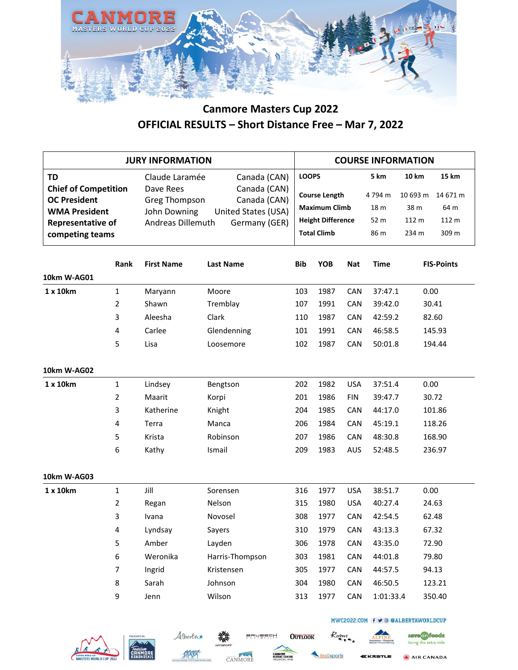

|                                                                                                                                        | <b>JURY INFORMATION</b> |                                                                                   |                                                                                      |            |                                                                                                                |            |                                        | <b>COURSE INFORMATION</b>                          |                                                    |
|----------------------------------------------------------------------------------------------------------------------------------------|-------------------------|-----------------------------------------------------------------------------------|--------------------------------------------------------------------------------------|------------|----------------------------------------------------------------------------------------------------------------|------------|----------------------------------------|----------------------------------------------------|----------------------------------------------------|
| <b>TD</b><br><b>Chief of Competition</b><br><b>OC President</b><br><b>WMA President</b><br><b>Representative of</b><br>competing teams |                         | Claude Laramée<br>Dave Rees<br>Greg Thompson<br>John Downing<br>Andreas Dillemuth | Canada (CAN)<br>Canada (CAN)<br>Canada (CAN)<br>United States (USA)<br>Germany (GER) |            | <b>LOOPS</b><br><b>Course Length</b><br><b>Maximum Climb</b><br><b>Height Difference</b><br><b>Total Climb</b> |            | 5 km<br>4794 m<br>18 m<br>52 m<br>86 m | <b>10 km</b><br>10 693 m<br>38 m<br>112 m<br>234 m | <b>15 km</b><br>14 671 m<br>64 m<br>112 m<br>309 m |
|                                                                                                                                        | Rank                    | <b>First Name</b>                                                                 | <b>Last Name</b>                                                                     | <b>Bib</b> | <b>YOB</b>                                                                                                     | <b>Nat</b> | <b>Time</b>                            |                                                    | <b>FIS-Points</b>                                  |
| 10km W-AG01                                                                                                                            |                         |                                                                                   |                                                                                      |            |                                                                                                                |            |                                        |                                                    |                                                    |
| 1 x 10km                                                                                                                               | $\mathbf{1}$            | Maryann                                                                           | Moore                                                                                | 103        | 1987                                                                                                           | CAN        | 37:47.1                                | 0.00                                               |                                                    |
|                                                                                                                                        | $\overline{2}$          | Shawn                                                                             | Tremblay                                                                             | 107        | 1991                                                                                                           | CAN        | 39:42.0                                |                                                    | 30.41                                              |
|                                                                                                                                        | 3                       | Aleesha                                                                           | Clark                                                                                | 110        | 1987                                                                                                           | CAN        | 42:59.2                                |                                                    | 82.60                                              |
|                                                                                                                                        | 4                       | Carlee                                                                            | Glendenning                                                                          | 101        | 1991                                                                                                           | CAN        | 46:58.5                                |                                                    | 145.93                                             |
|                                                                                                                                        | 5                       | Lisa                                                                              | Loosemore                                                                            | 102        | 1987                                                                                                           | CAN        | 50:01.8                                |                                                    | 194.44                                             |
| 10km W-AG02                                                                                                                            |                         |                                                                                   |                                                                                      |            |                                                                                                                |            |                                        |                                                    |                                                    |
| 1 x 10km                                                                                                                               | $\mathbf{1}$            | Lindsey                                                                           | Bengtson                                                                             | 202        | 1982                                                                                                           | <b>USA</b> | 37:51.4                                | 0.00                                               |                                                    |
|                                                                                                                                        | $\overline{2}$          | Maarit                                                                            | Korpi                                                                                | 201        | 1986                                                                                                           | <b>FIN</b> | 39:47.7                                |                                                    | 30.72                                              |
|                                                                                                                                        | 3                       | Katherine                                                                         | Knight                                                                               | 204        | 1985                                                                                                           | CAN        | 44:17.0                                |                                                    | 101.86                                             |
|                                                                                                                                        | 4                       | Terra                                                                             | Manca                                                                                | 206        | 1984                                                                                                           | CAN        | 45:19.1                                |                                                    | 118.26                                             |
|                                                                                                                                        | 5                       | Krista                                                                            | Robinson                                                                             | 207        | 1986                                                                                                           | CAN        | 48:30.8                                |                                                    | 168.90                                             |
|                                                                                                                                        | 6                       | Kathy                                                                             | Ismail                                                                               | 209        | 1983                                                                                                           | AUS        | 52:48.5                                |                                                    | 236.97                                             |
| 10km W-AG03                                                                                                                            |                         |                                                                                   |                                                                                      |            |                                                                                                                |            |                                        |                                                    |                                                    |
| 1 x 10km                                                                                                                               | $\mathbf{1}$            | Jill                                                                              | Sorensen                                                                             | 316        | 1977                                                                                                           | <b>USA</b> | 38:51.7                                | 0.00                                               |                                                    |
|                                                                                                                                        | 2                       | Regan                                                                             | Nelson                                                                               | 315        | 1980                                                                                                           | <b>USA</b> | 40:27.4                                |                                                    | 24.63                                              |
|                                                                                                                                        | 3                       | Ivana                                                                             | Novosel                                                                              | 308        | 1977                                                                                                           | CAN        | 42:54.5                                |                                                    | 62.48                                              |
|                                                                                                                                        | 4                       | Lyndsay                                                                           | Sayers                                                                               | 310        | 1979                                                                                                           | CAN        | 43:13.3                                |                                                    | 67.32                                              |
|                                                                                                                                        | 5                       | Amber                                                                             | Layden                                                                               | 306        | 1978                                                                                                           | CAN        | 43:35.0                                |                                                    | 72.90                                              |
|                                                                                                                                        | 6                       | Weronika                                                                          | Harris-Thompson                                                                      | 303        | 1981                                                                                                           | CAN        | 44:01.8                                |                                                    | 79.80                                              |
|                                                                                                                                        | 7                       | Ingrid                                                                            | Kristensen                                                                           | 305        | 1977                                                                                                           | CAN        | 44:57.5                                |                                                    | 94.13                                              |
|                                                                                                                                        | 8                       | Sarah                                                                             | Johnson                                                                              | 304        | 1980                                                                                                           | CAN        | 46:50.5                                |                                                    | 123.21                                             |
|                                                                                                                                        | 9                       | Jenn                                                                              | Wilson                                                                               | 313        | 1977                                                                                                           | CAN        | 1:01:33.4                              |                                                    | 350.40                                             |









BRUBECH

**OUTLOOK** 

ailsports

Roam



MWC2022.COM f v @ @ALBERTAWORLDCUP

AIR CANADA

save on foods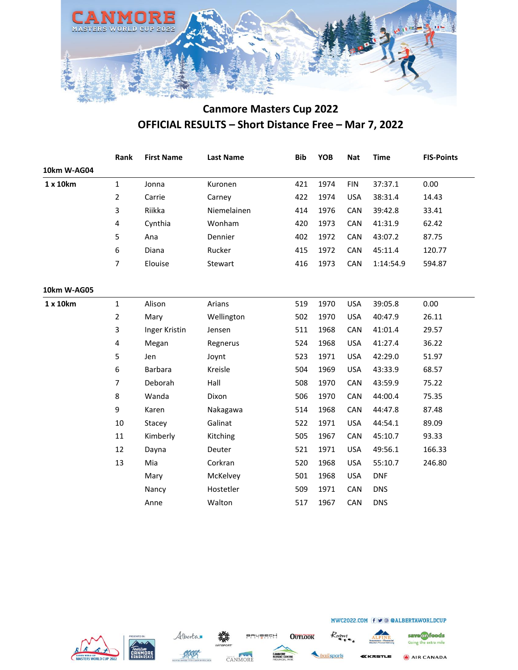

|             | Rank           | <b>First Name</b> | <b>Last Name</b> | <b>Bib</b> | <b>YOB</b> | <b>Nat</b> | <b>Time</b> | <b>FIS-Points</b> |
|-------------|----------------|-------------------|------------------|------------|------------|------------|-------------|-------------------|
| 10km W-AG04 |                |                   |                  |            |            |            |             |                   |
| 1 x 10km    | $\mathbf{1}$   | Jonna             | Kuronen          | 421        | 1974       | <b>FIN</b> | 37:37.1     | 0.00              |
|             | $\overline{2}$ | Carrie            | Carney           | 422        | 1974       | <b>USA</b> | 38:31.4     | 14.43             |
|             | 3              | Riikka            | Niemelainen      | 414        | 1976       | CAN        | 39:42.8     | 33.41             |
|             | 4              | Cynthia           | Wonham           | 420        | 1973       | CAN        | 41:31.9     | 62.42             |
|             | 5              | Ana               | Dennier          | 402        | 1972       | CAN        | 43:07.2     | 87.75             |
|             | 6              | Diana             | Rucker           | 415        | 1972       | CAN        | 45:11.4     | 120.77            |
|             | $\overline{7}$ | Elouise           | Stewart          | 416        | 1973       | CAN        | 1:14:54.9   | 594.87            |
| 10km W-AG05 |                |                   |                  |            |            |            |             |                   |
| 1 x 10km    | $\mathbf 1$    | Alison            | Arians           | 519        | 1970       | <b>USA</b> | 39:05.8     | 0.00              |
|             | 2              | Mary              | Wellington       | 502        | 1970       | <b>USA</b> | 40:47.9     | 26.11             |
|             | 3              | Inger Kristin     | Jensen           | 511        | 1968       | CAN        | 41:01.4     | 29.57             |
|             | 4              | Megan             | Regnerus         | 524        | 1968       | <b>USA</b> | 41:27.4     | 36.22             |
|             | 5              | Jen               | Joynt            | 523        | 1971       | <b>USA</b> | 42:29.0     | 51.97             |
|             | 6              | Barbara           | Kreisle          | 504        | 1969       | <b>USA</b> | 43:33.9     | 68.57             |
|             | $\overline{7}$ | Deborah           | Hall             | 508        | 1970       | CAN        | 43:59.9     | 75.22             |
|             | 8              | Wanda             | Dixon            | 506        | 1970       | CAN        | 44:00.4     | 75.35             |
|             | 9              | Karen             | Nakagawa         | 514        | 1968       | CAN        | 44:47.8     | 87.48             |
|             | 10             | Stacey            | Galinat          | 522        | 1971       | <b>USA</b> | 44:54.1     | 89.09             |
|             | 11             | Kimberly          | Kitching         | 505        | 1967       | CAN        | 45:10.7     | 93.33             |
|             | 12             | Dayna             | Deuter           | 521        | 1971       | <b>USA</b> | 49:56.1     | 166.33            |
|             | 13             | Mia               | Corkran          | 520        | 1968       | <b>USA</b> | 55:10.7     | 246.80            |
|             |                | Mary              | McKelvey         | 501        | 1968       | <b>USA</b> | <b>DNF</b>  |                   |
|             |                | Nancy             | Hostetler        | 509        | 1971       | CAN        | <b>DNS</b>  |                   |
|             |                | Anne              | Walton           | 517        | 1967       | CAN        | <b>DNS</b>  |                   |







**OUTLOOK** 

BRUBECH



Roam

save on foods

Going the extra mile

MWC2022.COM f v @ @ALBERTAWORLDCUP

AIR CANADA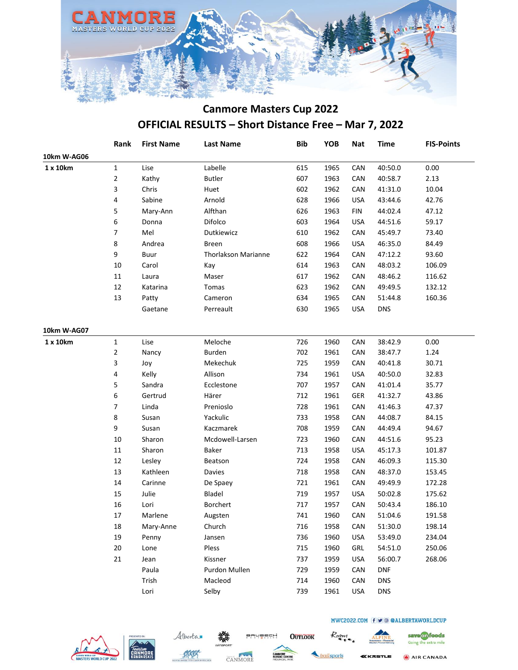

|             | Rank         | <b>First Name</b> | <b>Last Name</b>           | <b>Bib</b> | YOB  | <b>Nat</b> | <b>Time</b> | <b>FIS-Points</b> |
|-------------|--------------|-------------------|----------------------------|------------|------|------------|-------------|-------------------|
| 10km W-AG06 |              |                   |                            |            |      |            |             |                   |
| 1 x 10km    | $\mathbf{1}$ | Lise              | Labelle                    | 615        | 1965 | CAN        | 40:50.0     | 0.00              |
|             | 2            | Kathy             | <b>Butler</b>              | 607        | 1963 | CAN        | 40:58.7     | 2.13              |
|             | 3            | Chris             | Huet                       | 602        | 1962 | CAN        | 41:31.0     | 10.04             |
|             | 4            | Sabine            | Arnold                     | 628        | 1966 | <b>USA</b> | 43:44.6     | 42.76             |
|             | 5            | Mary-Ann          | Alfthan                    | 626        | 1963 | <b>FIN</b> | 44:02.4     | 47.12             |
|             | 6            | Donna             | Difolco                    | 603        | 1964 | <b>USA</b> | 44:51.6     | 59.17             |
|             | 7            | Mel               | Dutkiewicz                 | 610        | 1962 | CAN        | 45:49.7     | 73.40             |
|             | 8            | Andrea            | <b>Breen</b>               | 608        | 1966 | <b>USA</b> | 46:35.0     | 84.49             |
|             | 9            | Buur              | <b>Thorlakson Marianne</b> | 622        | 1964 | CAN        | 47:12.2     | 93.60             |
|             | 10           | Carol             | Kay                        | 614        | 1963 | CAN        | 48:03.2     | 106.09            |
|             | $11\,$       | Laura             | Maser                      | 617        | 1962 | CAN        | 48:46.2     | 116.62            |
|             | 12           | Katarina          | Tomas                      | 623        | 1962 | CAN        | 49:49.5     | 132.12            |
|             | 13           | Patty             | Cameron                    | 634        | 1965 | CAN        | 51:44.8     | 160.36            |
|             |              | Gaetane           | Perreault                  | 630        | 1965 | <b>USA</b> | <b>DNS</b>  |                   |
| 10km W-AG07 |              |                   |                            |            |      |            |             |                   |
| 1 x 10km    | $\mathbf{1}$ | Lise              | Meloche                    | 726        | 1960 | CAN        | 38:42.9     | 0.00              |
|             | 2            | Nancy             | Burden                     | 702        | 1961 | CAN        | 38:47.7     | 1.24              |
|             | 3            | Joy               | Mekechuk                   | 725        | 1959 | CAN        | 40:41.8     | 30.71             |
|             | 4            | Kelly             | Allison                    | 734        | 1961 | <b>USA</b> | 40:50.0     | 32.83             |
|             | 5            | Sandra            | Ecclestone                 | 707        | 1957 | CAN        | 41:01.4     | 35.77             |
|             | 6            | Gertrud           | Härer                      | 712        | 1961 | GER        | 41:32.7     | 43.86             |
|             | 7            | Linda             | Prenioslo                  | 728        | 1961 | CAN        | 41:46.3     | 47.37             |
|             | 8            | Susan             | Yackulic                   | 733        | 1958 | CAN        | 44:08.7     | 84.15             |
|             | 9            | Susan             | Kaczmarek                  | 708        | 1959 | CAN        | 44:49.4     | 94.67             |
|             | 10           | Sharon            | Mcdowell-Larsen            | 723        | 1960 | CAN        | 44:51.6     | 95.23             |
|             | 11           | Sharon            | Baker                      | 713        | 1958 | <b>USA</b> | 45:17.3     | 101.87            |
|             | 12           | Lesley            | Beatson                    | 724        | 1958 | CAN        | 46:09.3     | 115.30            |
|             | 13           | Kathleen          | Davies                     | 718        | 1958 | CAN        | 48:37.0     | 153.45            |
|             | $14\,$       | Carinne           | De Spaey                   | 721        | 1961 | CAN        | 49:49.9     | 172.28            |
|             | 15           | Julie             | Bladel                     | 719        | 1957 | <b>USA</b> | 50:02.8     | 175.62            |
|             | 16           | Lori              | Borchert                   | 717        | 1957 | CAN        | 50:43.4     | 186.10            |
|             | 17           | Marlene           | Augsten                    | 741        | 1960 | CAN        | 51:04.6     | 191.58            |
|             | 18           | Mary-Anne         | Church                     | 716        | 1958 | CAN        | 51:30.0     | 198.14            |
|             | 19           | Penny             | Jansen                     | 736        | 1960 | <b>USA</b> | 53:49.0     | 234.04            |
|             | $20\,$       | Lone              | Pless                      | 715        | 1960 | GRL        | 54:51.0     | 250.06            |
|             | 21           | Jean              | Kissner                    | 737        | 1959 | <b>USA</b> | 56:00.7     | 268.06            |
|             |              | Paula             | Purdon Mullen              | 729        | 1959 | CAN        | <b>DNF</b>  |                   |
|             |              | Trish             | Macleod                    | 714        | 1960 | CAN        | <b>DNS</b>  |                   |
|             |              | Lori              | Selby                      | 739        | 1961 | <b>USA</b> | <b>DNS</b>  |                   |







**OUTLOOK** 

BRUBECH

railsports

Roam

KKASTLE

MWC2022.COM f v @ @ALBERTAWORLDCUP

AIR CANADA

save on foods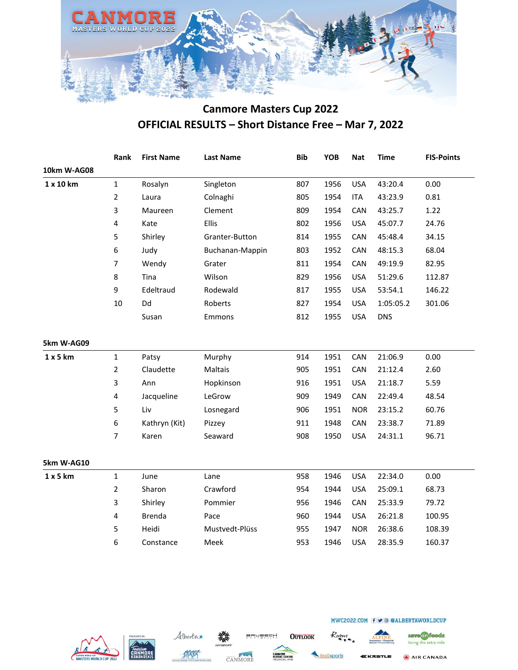

|             | Rank           | <b>First Name</b> | <b>Last Name</b> | <b>Bib</b> | YOB  | <b>Nat</b> | <b>Time</b> | <b>FIS-Points</b> |
|-------------|----------------|-------------------|------------------|------------|------|------------|-------------|-------------------|
| 10km W-AG08 |                |                   |                  |            |      |            |             |                   |
| 1 x 10 km   | $\mathbf{1}$   | Rosalyn           | Singleton        | 807        | 1956 | <b>USA</b> | 43:20.4     | 0.00              |
|             | $\overline{2}$ | Laura             | Colnaghi         | 805        | 1954 | <b>ITA</b> | 43:23.9     | 0.81              |
|             | 3              | Maureen           | Clement          | 809        | 1954 | CAN        | 43:25.7     | 1.22              |
|             | 4              | Kate              | <b>Ellis</b>     | 802        | 1956 | <b>USA</b> | 45:07.7     | 24.76             |
|             | 5              | Shirley           | Granter-Button   | 814        | 1955 | CAN        | 45:48.4     | 34.15             |
|             | 6              | Judy              | Buchanan-Mappin  | 803        | 1952 | CAN        | 48:15.3     | 68.04             |
|             | 7              | Wendy             | Grater           | 811        | 1954 | CAN        | 49:19.9     | 82.95             |
|             | 8              | Tina              | Wilson           | 829        | 1956 | <b>USA</b> | 51:29.6     | 112.87            |
|             | 9              | Edeltraud         | Rodewald         | 817        | 1955 | <b>USA</b> | 53:54.1     | 146.22            |
|             | 10             | Dd                | Roberts          | 827        | 1954 | <b>USA</b> | 1:05:05.2   | 301.06            |
|             |                | Susan             | Emmons           | 812        | 1955 | <b>USA</b> | <b>DNS</b>  |                   |
| 5km W-AG09  |                |                   |                  |            |      |            |             |                   |
| 1 x 5 km    | $\mathbf{1}$   | Patsy             | Murphy           | 914        | 1951 | CAN        | 21:06.9     | 0.00              |
|             | $\overline{2}$ | Claudette         | Maltais          | 905        | 1951 | CAN        | 21:12.4     | 2.60              |
|             | 3              | Ann               | Hopkinson        | 916        | 1951 | <b>USA</b> | 21:18.7     | 5.59              |
|             | 4              | Jacqueline        | LeGrow           | 909        | 1949 | CAN        | 22:49.4     | 48.54             |
|             | 5              | Liv               | Losnegard        | 906        | 1951 | <b>NOR</b> | 23:15.2     | 60.76             |
|             | 6              | Kathryn (Kit)     | Pizzey           | 911        | 1948 | CAN        | 23:38.7     | 71.89             |
|             | $\overline{7}$ | Karen             | Seaward          | 908        | 1950 | <b>USA</b> | 24:31.1     | 96.71             |
| 5km W-AG10  |                |                   |                  |            |      |            |             |                   |
| 1x5km       | $\mathbf{1}$   | June              | Lane             | 958        | 1946 | <b>USA</b> | 22:34.0     | 0.00              |
|             | $\overline{2}$ | Sharon            | Crawford         | 954        | 1944 | <b>USA</b> | 25:09.1     | 68.73             |
|             | 3              | Shirley           | Pommier          | 956        | 1946 | CAN        | 25:33.9     | 79.72             |
|             | 4              | <b>Brenda</b>     | Pace             | 960        | 1944 | <b>USA</b> | 26:21.8     | 100.95            |
|             | 5              | Heidi             | Mustvedt-Plüss   | 955        | 1947 | <b>NOR</b> | 26:38.6     | 108.39            |
|             | 6              | Constance         | Meek             | 953        | 1946 | <b>USA</b> | 28:35.9     | 160.37            |
|             |                |                   |                  |            |      |            |             |                   |







**BRUBECH** 

**OUTLOOK** 



Roam

save on foods Going the extra mile AIR CANADA

**KKASTLE**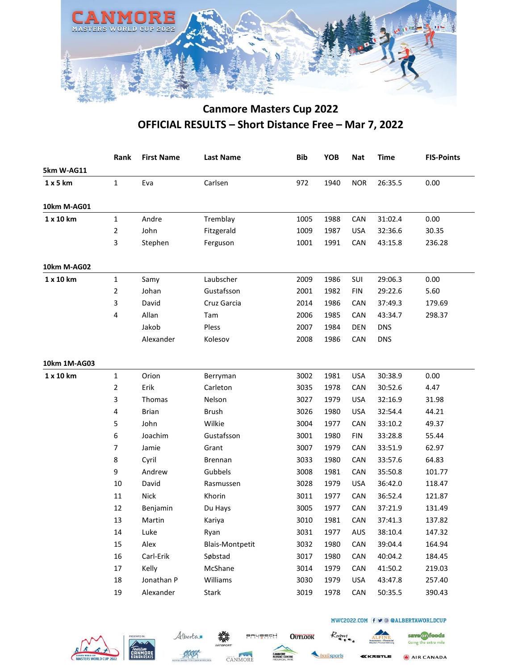

|              | Rank           | <b>First Name</b> | <b>Last Name</b>       | <b>Bib</b> | YOB  | <b>Nat</b> | <b>Time</b> | <b>FIS-Points</b> |
|--------------|----------------|-------------------|------------------------|------------|------|------------|-------------|-------------------|
| 5km W-AG11   |                |                   |                        |            |      |            |             |                   |
| 1x5km        | 1              | Eva               | Carlsen                | 972        | 1940 | <b>NOR</b> | 26:35.5     | 0.00              |
| 10km M-AG01  |                |                   |                        |            |      |            |             |                   |
| 1 x 10 km    | $\mathbf{1}$   | Andre             | Tremblay               | 1005       | 1988 | CAN        | 31:02.4     | 0.00              |
|              | $\overline{2}$ | John              | Fitzgerald             | 1009       | 1987 | <b>USA</b> | 32:36.6     | 30.35             |
|              | 3              | Stephen           | Ferguson               | 1001       | 1991 | CAN        | 43:15.8     | 236.28            |
| 10km M-AG02  |                |                   |                        |            |      |            |             |                   |
| 1 x 10 km    | 1              | Samy              | Laubscher              | 2009       | 1986 | SUI        | 29:06.3     | 0.00              |
|              | $\overline{2}$ | Johan             | Gustafsson             | 2001       | 1982 | <b>FIN</b> | 29:22.6     | 5.60              |
|              | 3              | David             | Cruz Garcia            | 2014       | 1986 | CAN        | 37:49.3     | 179.69            |
|              | 4              | Allan             | Tam                    | 2006       | 1985 | CAN        | 43:34.7     | 298.37            |
|              |                | Jakob             | Pless                  | 2007       | 1984 | <b>DEN</b> | <b>DNS</b>  |                   |
|              |                | Alexander         | Kolesov                | 2008       | 1986 | CAN        | <b>DNS</b>  |                   |
| 10km 1M-AG03 |                |                   |                        |            |      |            |             |                   |
| 1 x 10 km    | $\mathbf{1}$   | Orion             | Berryman               | 3002       | 1981 | <b>USA</b> | 30:38.9     | 0.00              |
|              | 2              | Erik              | Carleton               | 3035       | 1978 | CAN        | 30:52.6     | 4.47              |
|              | 3              | Thomas            | Nelson                 | 3027       | 1979 | <b>USA</b> | 32:16.9     | 31.98             |
|              | 4              | <b>Brian</b>      | <b>Brush</b>           | 3026       | 1980 | <b>USA</b> | 32:54.4     | 44.21             |
|              | 5              | John              | Wilkie                 | 3004       | 1977 | CAN        | 33:10.2     | 49.37             |
|              | 6              | Joachim           | Gustafsson             | 3001       | 1980 | <b>FIN</b> | 33:28.8     | 55.44             |
|              | 7              | Jamie             | Grant                  | 3007       | 1979 | CAN        | 33:51.9     | 62.97             |
|              | 8              | Cyril             | <b>Brennan</b>         | 3033       | 1980 | CAN        | 33:57.6     | 64.83             |
|              | 9              | Andrew            | Gubbels                | 3008       | 1981 | CAN        | 35:50.8     | 101.77            |
|              | 10             | David             | Rasmussen              | 3028       | 1979 | <b>USA</b> | 36:42.0     | 118.47            |
|              | 11             | <b>Nick</b>       | Khorin                 | 3011       | 1977 | CAN        | 36:52.4     | 121.87            |
|              | 12             | Benjamin          | Du Hays                | 3005       | 1977 | CAN        | 37:21.9     | 131.49            |
|              | 13             | Martin            | Kariya                 | 3010       | 1981 | CAN        | 37:41.3     | 137.82            |
|              | 14             | Luke              | Ryan                   | 3031       | 1977 | AUS        | 38:10.4     | 147.32            |
|              | 15             | Alex              | <b>Blais-Montpetit</b> | 3032       | 1980 | CAN        | 39:04.4     | 164.94            |
|              | 16             | Carl-Erik         | Søbstad                | 3017       | 1980 | CAN        | 40:04.2     | 184.45            |
|              | 17             | Kelly             | McShane                | 3014       | 1979 | CAN        | 41:50.2     | 219.03            |
|              | 18             | Jonathan P        | Williams               | 3030       | 1979 | <b>USA</b> | 43:47.8     | 257.40            |
|              | 19             | Alexander         | Stark                  | 3019       | 1978 | CAN        | 50:35.5     | 390.43            |
|              |                |                   |                        |            |      |            |             |                   |









**BRUBECH** 

**OUTLOOK** 

railsports

Roam



MWC2022.COM f v @ @ALBERTAWORLDCUP

AIR CANADA

save on foods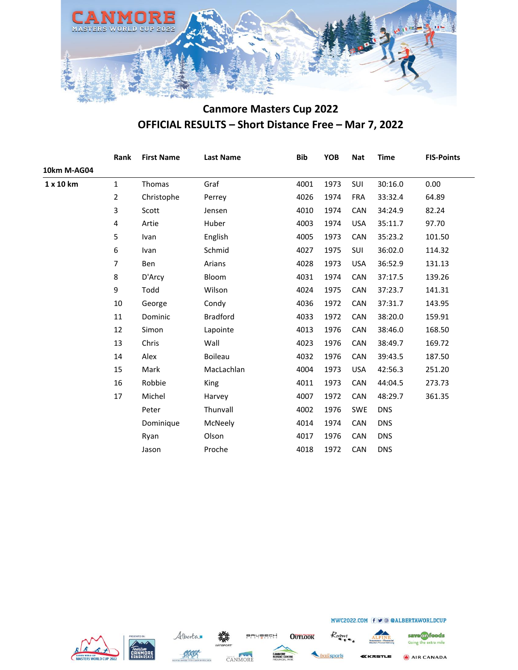

|                    | Rank           | <b>First Name</b> | <b>Last Name</b> | <b>Bib</b> | <b>YOB</b> | <b>Nat</b> | <b>Time</b> | <b>FIS-Points</b> |
|--------------------|----------------|-------------------|------------------|------------|------------|------------|-------------|-------------------|
| <b>10km M-AG04</b> |                |                   |                  |            |            |            |             |                   |
| 1 x 10 km          | $\mathbf{1}$   | Thomas            | Graf             | 4001       | 1973       | SUI        | 30:16.0     | 0.00              |
|                    | $\overline{2}$ | Christophe        | Perrey           | 4026       | 1974       | <b>FRA</b> | 33:32.4     | 64.89             |
|                    | 3              | Scott             | Jensen           | 4010       | 1974       | CAN        | 34:24.9     | 82.24             |
|                    | 4              | Artie             | Huber            | 4003       | 1974       | <b>USA</b> | 35:11.7     | 97.70             |
|                    | 5              | Ivan              | English          | 4005       | 1973       | CAN        | 35:23.2     | 101.50            |
|                    | 6              | Ivan              | Schmid           | 4027       | 1975       | SUI        | 36:02.0     | 114.32            |
|                    | 7              | Ben               | Arians           | 4028       | 1973       | <b>USA</b> | 36:52.9     | 131.13            |
|                    | 8              | D'Arcy            | Bloom            | 4031       | 1974       | CAN        | 37:17.5     | 139.26            |
|                    | 9              | Todd              | Wilson           | 4024       | 1975       | CAN        | 37:23.7     | 141.31            |
|                    | 10             | George            | Condy            | 4036       | 1972       | CAN        | 37:31.7     | 143.95            |
|                    | 11             | Dominic           | <b>Bradford</b>  | 4033       | 1972       | CAN        | 38:20.0     | 159.91            |
|                    | 12             | Simon             | Lapointe         | 4013       | 1976       | <b>CAN</b> | 38:46.0     | 168.50            |
|                    | 13             | Chris             | Wall             | 4023       | 1976       | CAN        | 38:49.7     | 169.72            |
|                    | 14             | Alex              | <b>Boileau</b>   | 4032       | 1976       | CAN        | 39:43.5     | 187.50            |
|                    | 15             | Mark              | MacLachlan       | 4004       | 1973       | <b>USA</b> | 42:56.3     | 251.20            |
|                    | 16             | Robbie            | King             | 4011       | 1973       | <b>CAN</b> | 44:04.5     | 273.73            |
|                    | 17             | Michel            | Harvey           | 4007       | 1972       | CAN        | 48:29.7     | 361.35            |
|                    |                | Peter             | Thunvall         | 4002       | 1976       | <b>SWE</b> | <b>DNS</b>  |                   |
|                    |                | Dominique         | McNeely          | 4014       | 1974       | <b>CAN</b> | <b>DNS</b>  |                   |
|                    |                | Ryan              | Olson            | 4017       | 1976       | CAN        | <b>DNS</b>  |                   |
|                    |                | Jason             | Proche           | 4018       | 1972       | CAN        | <b>DNS</b>  |                   |
|                    |                |                   |                  |            |            |            |             |                   |







**OUTLOOK** 

BRUBECH

railsports

Roam



MWC2022.COM f v @ @ALBERTAWORLDCUP

KKASTLE

AIR CANADA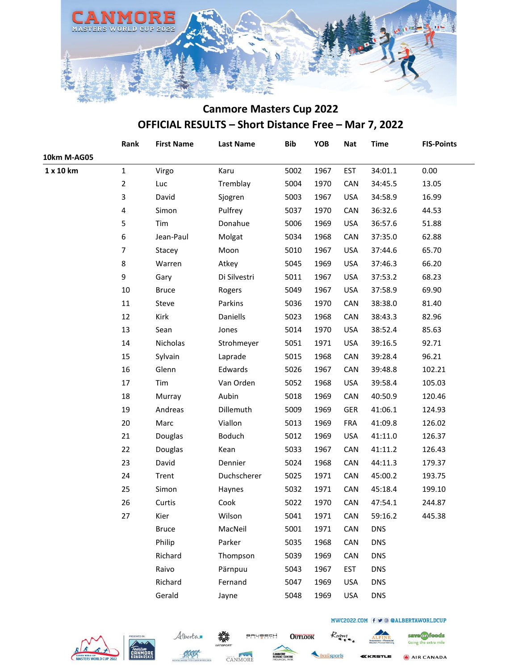

|             | Rank           | <b>First Name</b> | <b>Last Name</b> | <b>Bib</b> | YOB  | <b>Nat</b> | <b>Time</b> | <b>FIS-Points</b> |
|-------------|----------------|-------------------|------------------|------------|------|------------|-------------|-------------------|
| 10km M-AG05 |                |                   |                  |            |      |            |             |                   |
| 1 x 10 km   | $\mathbf 1$    | Virgo             | Karu             | 5002       | 1967 | <b>EST</b> | 34:01.1     | 0.00              |
|             | $\overline{2}$ | Luc               | Tremblay         | 5004       | 1970 | CAN        | 34:45.5     | 13.05             |
|             | 3              | David             | Sjogren          | 5003       | 1967 | <b>USA</b> | 34:58.9     | 16.99             |
|             | 4              | Simon             | Pulfrey          | 5037       | 1970 | CAN        | 36:32.6     | 44.53             |
|             | 5              | Tim               | Donahue          | 5006       | 1969 | <b>USA</b> | 36:57.6     | 51.88             |
|             | 6              | Jean-Paul         | Molgat           | 5034       | 1968 | CAN        | 37:35.0     | 62.88             |
|             | $\overline{7}$ | Stacey            | Moon             | 5010       | 1967 | <b>USA</b> | 37:44.6     | 65.70             |
|             | 8              | Warren            | Atkey            | 5045       | 1969 | <b>USA</b> | 37:46.3     | 66.20             |
|             | 9              | Gary              | Di Silvestri     | 5011       | 1967 | <b>USA</b> | 37:53.2     | 68.23             |
|             | $10\,$         | <b>Bruce</b>      | Rogers           | 5049       | 1967 | <b>USA</b> | 37:58.9     | 69.90             |
|             | $11\,$         | Steve             | Parkins          | 5036       | 1970 | CAN        | 38:38.0     | 81.40             |
|             | 12             | Kirk              | Daniells         | 5023       | 1968 | CAN        | 38:43.3     | 82.96             |
|             | 13             | Sean              | Jones            | 5014       | 1970 | <b>USA</b> | 38:52.4     | 85.63             |
|             | 14             | Nicholas          | Strohmeyer       | 5051       | 1971 | <b>USA</b> | 39:16.5     | 92.71             |
|             | 15             | Sylvain           | Laprade          | 5015       | 1968 | CAN        | 39:28.4     | 96.21             |
|             | 16             | Glenn             | Edwards          | 5026       | 1967 | CAN        | 39:48.8     | 102.21            |
|             | 17             | Tim               | Van Orden        | 5052       | 1968 | <b>USA</b> | 39:58.4     | 105.03            |
|             | 18             | Murray            | Aubin            | 5018       | 1969 | CAN        | 40:50.9     | 120.46            |
|             | 19             | Andreas           | Dillemuth        | 5009       | 1969 | GER        | 41:06.1     | 124.93            |
|             | 20             | Marc              | Viallon          | 5013       | 1969 | <b>FRA</b> | 41:09.8     | 126.02            |
|             | 21             | Douglas           | Boduch           | 5012       | 1969 | <b>USA</b> | 41:11.0     | 126.37            |
|             | 22             | Douglas           | Kean             | 5033       | 1967 | CAN        | 41:11.2     | 126.43            |
|             | 23             | David             | Dennier          | 5024       | 1968 | CAN        | 44:11.3     | 179.37            |
|             | 24             | Trent             | Duchscherer      | 5025       | 1971 | CAN        | 45:00.2     | 193.75            |
|             | 25             | Simon             | Haynes           | 5032       | 1971 | CAN        | 45:18.4     | 199.10            |
|             | 26             | Curtis            | Cook             | 5022       | 1970 | CAN        | 47:54.1     | 244.87            |
|             | 27             | Kier              | Wilson           | 5041       | 1971 | CAN        | 59:16.2     | 445.38            |
|             |                | <b>Bruce</b>      | MacNeil          | 5001       | 1971 | CAN        | <b>DNS</b>  |                   |
|             |                | Philip            | Parker           | 5035       | 1968 | CAN        | <b>DNS</b>  |                   |
|             |                | Richard           | Thompson         | 5039       | 1969 | CAN        | <b>DNS</b>  |                   |
|             |                | Raivo             | Pärnpuu          | 5043       | 1967 | <b>EST</b> | <b>DNS</b>  |                   |
|             |                | Richard           | Fernand          | 5047       | 1969 | <b>USA</b> | <b>DNS</b>  |                   |
|             |                | Gerald            | Jayne            | 5048       | 1969 | <b>USA</b> | <b>DNS</b>  |                   |
|             |                |                   |                  |            |      |            |             |                   |







**BRUBECH** 

**OUTLOOK** 

railsports

Roam

KKASTLE

MWC2022.COM f v @ @ALBERTAWORLDCUP

AIR CANADA

save on foods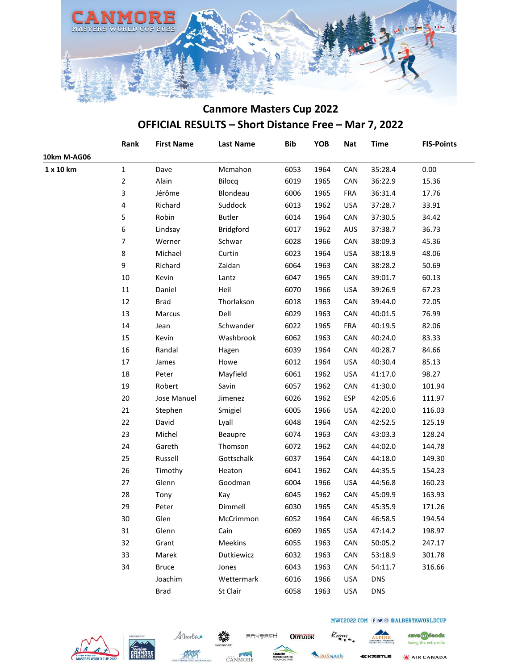

|             | Rank           | <b>First Name</b> | <b>Last Name</b> | <b>Bib</b> | YOB  | <b>Nat</b> | <b>Time</b> | <b>FIS-Points</b> |
|-------------|----------------|-------------------|------------------|------------|------|------------|-------------|-------------------|
| 10km M-AG06 |                |                   |                  |            |      |            |             |                   |
| 1 x 10 km   | $\mathbf{1}$   | Dave              | Mcmahon          | 6053       | 1964 | CAN        | 35:28.4     | 0.00              |
|             | $\overline{2}$ | Alain             | Bilocq           | 6019       | 1965 | CAN        | 36:22.9     | 15.36             |
|             | 3              | Jérôme            | Blondeau         | 6006       | 1965 | FRA        | 36:31.4     | 17.76             |
|             | 4              | Richard           | Suddock          | 6013       | 1962 | <b>USA</b> | 37:28.7     | 33.91             |
|             | 5              | Robin             | <b>Butler</b>    | 6014       | 1964 | CAN        | 37:30.5     | 34.42             |
|             | 6              | Lindsay           | Bridgford        | 6017       | 1962 | AUS        | 37:38.7     | 36.73             |
|             | $\overline{7}$ | Werner            | Schwar           | 6028       | 1966 | CAN        | 38:09.3     | 45.36             |
|             | $\bf 8$        | Michael           | Curtin           | 6023       | 1964 | <b>USA</b> | 38:18.9     | 48.06             |
|             | 9              | Richard           | Zaidan           | 6064       | 1963 | CAN        | 38:28.2     | 50.69             |
|             | 10             | Kevin             | Lantz            | 6047       | 1965 | CAN        | 39:01.7     | 60.13             |
|             | $11\,$         | Daniel            | Heil             | 6070       | 1966 | <b>USA</b> | 39:26.9     | 67.23             |
|             | 12             | Brad              | Thorlakson       | 6018       | 1963 | CAN        | 39:44.0     | 72.05             |
|             | 13             | Marcus            | Dell             | 6029       | 1963 | CAN        | 40:01.5     | 76.99             |
|             | $14\,$         | Jean              | Schwander        | 6022       | 1965 | FRA        | 40:19.5     | 82.06             |
|             | 15             | Kevin             | Washbrook        | 6062       | 1963 | CAN        | 40:24.0     | 83.33             |
|             | 16             | Randal            | Hagen            | 6039       | 1964 | CAN        | 40:28.7     | 84.66             |
|             | $17\,$         | James             | Howe             | 6012       | 1964 | <b>USA</b> | 40:30.4     | 85.13             |
|             | 18             | Peter             | Mayfield         | 6061       | 1962 | <b>USA</b> | 41:17.0     | 98.27             |
|             | 19             | Robert            | Savin            | 6057       | 1962 | CAN        | 41:30.0     | 101.94            |
|             | 20             | Jose Manuel       | Jimenez          | 6026       | 1962 | ESP        | 42:05.6     | 111.97            |
|             | 21             | Stephen           | Smigiel          | 6005       | 1966 | <b>USA</b> | 42:20.0     | 116.03            |
|             | 22             | David             | Lyall            | 6048       | 1964 | CAN        | 42:52.5     | 125.19            |
|             | 23             | Michel            | Beaupre          | 6074       | 1963 | CAN        | 43:03.3     | 128.24            |
|             | 24             | Gareth            | Thomson          | 6072       | 1962 | CAN        | 44:02.0     | 144.78            |
|             | 25             | Russell           | Gottschalk       | 6037       | 1964 | CAN        | 44:18.0     | 149.30            |
|             | 26             | Timothy           | Heaton           | 6041       | 1962 | CAN        | 44:35.5     | 154.23            |
|             | $27\,$         | Glenn             | Goodman          | 6004       | 1966 | USA        | 44:56.8     | 160.23            |
|             | 28             | Tony              | Kay              | 6045       | 1962 | CAN        | 45:09.9     | 163.93            |
|             | 29             | Peter             | Dimmell          | 6030       | 1965 | CAN        | 45:35.9     | 171.26            |
|             | $30\,$         | Glen              | McCrimmon        | 6052       | 1964 | CAN        | 46:58.5     | 194.54            |
|             | 31             | Glenn             | Cain             | 6069       | 1965 | <b>USA</b> | 47:14.2     | 198.97            |
|             | 32             | Grant             | Meekins          | 6055       | 1963 | CAN        | 50:05.2     | 247.17            |
|             | 33             | Marek             | Dutkiewicz       | 6032       | 1963 | CAN        | 53:18.9     | 301.78            |
|             | 34             | <b>Bruce</b>      | Jones            | 6043       | 1963 | CAN        | 54:11.7     | 316.66            |
|             |                | Joachim           | Wettermark       | 6016       | 1966 | <b>USA</b> | <b>DNS</b>  |                   |
|             |                | <b>Brad</b>       | St Clair         | 6058       | 1963 | <b>USA</b> | <b>DNS</b>  |                   |
|             |                |                   |                  |            |      |            |             |                   |







**BRUBECH** 

railsports

**OUTLOOK** 

Roam

**KKASTLE** 

MWC2022.COM f v @ @ALBERTAWORLDCUP

Going the extra mile AIR CANADA

save on foods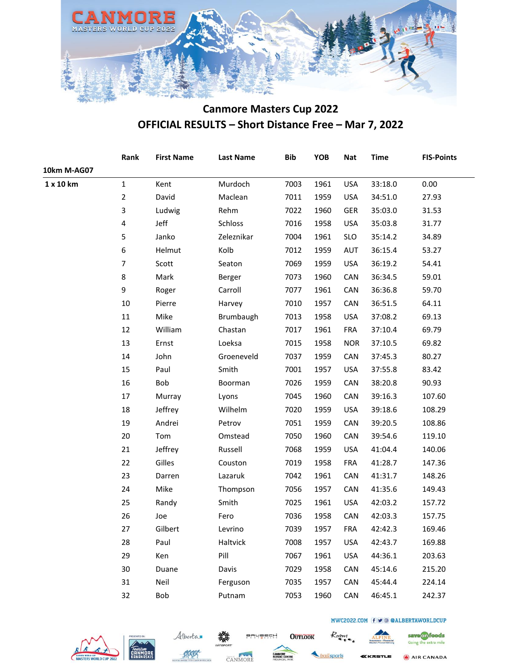

|             | Rank           | <b>First Name</b> | <b>Last Name</b> | <b>Bib</b> | YOB  | <b>Nat</b> | <b>Time</b> | <b>FIS-Points</b> |
|-------------|----------------|-------------------|------------------|------------|------|------------|-------------|-------------------|
| 10km M-AG07 |                |                   |                  |            |      |            |             |                   |
| 1 x 10 km   | $\mathbf{1}$   | Kent              | Murdoch          | 7003       | 1961 | <b>USA</b> | 33:18.0     | 0.00              |
|             | $\overline{2}$ | David             | Maclean          | 7011       | 1959 | <b>USA</b> | 34:51.0     | 27.93             |
|             | 3              | Ludwig            | Rehm             | 7022       | 1960 | <b>GER</b> | 35:03.0     | 31.53             |
|             | 4              | Jeff              | Schloss          | 7016       | 1958 | <b>USA</b> | 35:03.8     | 31.77             |
|             | 5              | Janko             | Zeleznikar       | 7004       | 1961 | <b>SLO</b> | 35:14.2     | 34.89             |
|             | 6              | Helmut            | Kolb             | 7012       | 1959 | AUT        | 36:15.4     | 53.27             |
|             | $\overline{7}$ | Scott             | Seaton           | 7069       | 1959 | <b>USA</b> | 36:19.2     | 54.41             |
|             | 8              | Mark              | Berger           | 7073       | 1960 | CAN        | 36:34.5     | 59.01             |
|             | 9              | Roger             | Carroll          | 7077       | 1961 | CAN        | 36:36.8     | 59.70             |
|             | 10             | Pierre            | Harvey           | 7010       | 1957 | CAN        | 36:51.5     | 64.11             |
|             | 11             | Mike              | Brumbaugh        | 7013       | 1958 | <b>USA</b> | 37:08.2     | 69.13             |
|             | 12             | William           | Chastan          | 7017       | 1961 | <b>FRA</b> | 37:10.4     | 69.79             |
|             | 13             | Ernst             | Loeksa           | 7015       | 1958 | <b>NOR</b> | 37:10.5     | 69.82             |
|             | 14             | John              | Groeneveld       | 7037       | 1959 | CAN        | 37:45.3     | 80.27             |
|             | 15             | Paul              | Smith            | 7001       | 1957 | <b>USA</b> | 37:55.8     | 83.42             |
|             | 16             | Bob               | Boorman          | 7026       | 1959 | CAN        | 38:20.8     | 90.93             |
|             | 17             | Murray            | Lyons            | 7045       | 1960 | CAN        | 39:16.3     | 107.60            |
|             | 18             | Jeffrey           | Wilhelm          | 7020       | 1959 | <b>USA</b> | 39:18.6     | 108.29            |
|             | 19             | Andrei            | Petrov           | 7051       | 1959 | CAN        | 39:20.5     | 108.86            |
|             | 20             | Tom               | Omstead          | 7050       | 1960 | CAN        | 39:54.6     | 119.10            |
|             | 21             | Jeffrey           | Russell          | 7068       | 1959 | <b>USA</b> | 41:04.4     | 140.06            |
|             | 22             | Gilles            | Couston          | 7019       | 1958 | <b>FRA</b> | 41:28.7     | 147.36            |
|             | 23             | Darren            | Lazaruk          | 7042       | 1961 | CAN        | 41:31.7     | 148.26            |
|             | 24             | Mike              | Thompson         | 7056       | 1957 | CAN        | 41:35.6     | 149.43            |
|             | 25             | Randy             | Smith            | 7025       | 1961 | <b>USA</b> | 42:03.2     | 157.72            |
|             | 26             | Joe               | Fero             | 7036       | 1958 | CAN        | 42:03.3     | 157.75            |
|             | 27             | Gilbert           | Levrino          | 7039       | 1957 | <b>FRA</b> | 42:42.3     | 169.46            |
|             | 28             | Paul              | Haltvick         | 7008       | 1957 | <b>USA</b> | 42:43.7     | 169.88            |
|             | 29             | Ken               | Pill             | 7067       | 1961 | <b>USA</b> | 44:36.1     | 203.63            |
|             | 30             | Duane             | Davis            | 7029       | 1958 | CAN        | 45:14.6     | 215.20            |
|             | 31             | Neil              | Ferguson         | 7035       | 1957 | CAN        | 45:44.4     | 224.14            |
|             | 32             | Bob               | Putnam           | 7053       | 1960 | CAN        | 46:45.1     | 242.37            |
|             |                |                   |                  |            |      |            |             |                   |







**BRUBECH** 



**OUTLOOK** 

KKASTLE

Roam

AIR CANADA

save on foods

Going the extra mile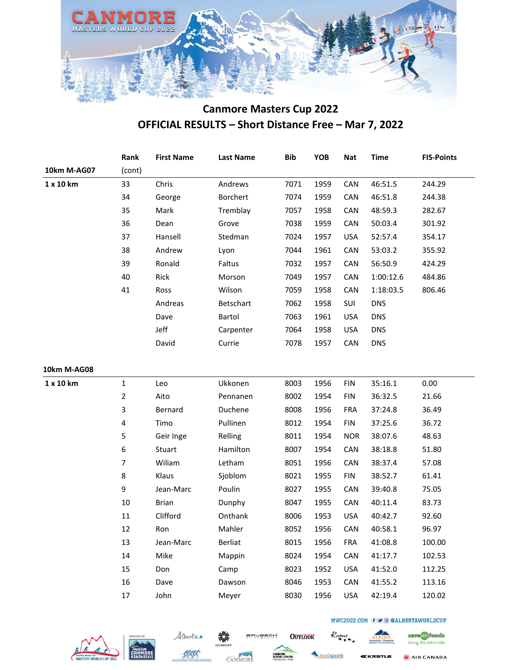

|             | Rank           | <b>First Name</b> | <b>Last Name</b> | <b>Bib</b> | YOB  | <b>Nat</b> | <b>Time</b> | <b>FIS-Points</b> |
|-------------|----------------|-------------------|------------------|------------|------|------------|-------------|-------------------|
| 10km M-AG07 | (cont)         |                   |                  |            |      |            |             |                   |
| 1 x 10 km   | 33             | Chris             | Andrews          | 7071       | 1959 | CAN        | 46:51.5     | 244.29            |
|             | 34             | George            | Borchert         | 7074       | 1959 | CAN        | 46:51.8     | 244.38            |
|             | 35             | Mark              | Tremblay         | 7057       | 1958 | CAN        | 48:59.3     | 282.67            |
|             | 36             | Dean              | Grove            | 7038       | 1959 | CAN        | 50:03.4     | 301.92            |
|             | 37             | Hansell           | Stedman          | 7024       | 1957 | <b>USA</b> | 52:57.4     | 354.17            |
|             | 38             | Andrew            | Lyon             | 7044       | 1961 | <b>CAN</b> | 53:03.2     | 355.92            |
|             | 39             | Ronald            | Faltus           | 7032       | 1957 | CAN        | 56:50.9     | 424.29            |
|             | 40             | Rick              | Morson           | 7049       | 1957 | CAN        | 1:00:12.6   | 484.86            |
|             | 41             | Ross              | Wilson           | 7059       | 1958 | CAN        | 1:18:03.5   | 806.46            |
|             |                | Andreas           | Betschart        | 7062       | 1958 | SUI        | <b>DNS</b>  |                   |
|             |                | Dave              | Bartol           | 7063       | 1961 | <b>USA</b> | <b>DNS</b>  |                   |
|             |                | Jeff              | Carpenter        | 7064       | 1958 | USA        | <b>DNS</b>  |                   |
|             |                | David             | Currie           | 7078       | 1957 | <b>CAN</b> | <b>DNS</b>  |                   |
| 10km M-AG08 |                |                   |                  |            |      |            |             |                   |
| 1 x 10 km   | $\mathbf{1}$   | Leo               | Ukkonen          | 8003       | 1956 | <b>FIN</b> | 35:16.1     | 0.00              |
|             | $\overline{2}$ | Aito              | Pennanen         | 8002       | 1954 | <b>FIN</b> | 36:32.5     | 21.66             |
|             | 3              | Bernard           | Duchene          | 8008       | 1956 | <b>FRA</b> | 37:24.8     | 36.49             |
|             | 4              | Timo              | Pullinen         | 8012       | 1954 | <b>FIN</b> | 37:25.6     | 36.72             |
|             | 5              | Geir Inge         | Relling          | 8011       | 1954 | <b>NOR</b> | 38:07.6     | 48.63             |
|             | 6              | Stuart            | Hamilton         | 8007       | 1954 | CAN        | 38:18.8     | 51.80             |
|             | $\overline{7}$ | Wiliam            | Letham           | 8051       | 1956 | <b>CAN</b> | 38:37.4     | 57.08             |
|             | 8              | Klaus             | Sjoblom          | 8021       | 1955 | <b>FIN</b> | 38:52.7     | 61.41             |
|             | 9              | Jean-Marc         | Poulin           | 8027       | 1955 | <b>CAN</b> | 39:40.8     | 75.05             |
|             | $10\,$         | <b>Brian</b>      | Dunphy           | 8047       | 1955 | <b>CAN</b> | 40:11.4     | 83.73             |
|             | 11             | Clifford          | Onthank          | 8006       | 1953 | <b>USA</b> | 40:42.7     | 92.60             |
|             | 12             | Ron               | Mahler           | 8052       | 1956 | CAN        | 40:58.1     | 96.97             |
|             | 13             | Jean-Marc         | <b>Berliat</b>   | 8015       | 1956 | <b>FRA</b> | 41:08.8     | 100.00            |
|             | 14             | Mike              | Mappin           | 8024       | 1954 | CAN        | 41:17.7     | 102.53            |
|             | 15             | Don               | Camp             | 8023       | 1952 | <b>USA</b> | 41:52.0     | 112.25            |
|             | 16             | Dave              | Dawson           | 8046       | 1953 | CAN        | 41:55.2     | 113.16            |
|             | $17\,$         | John              | Meyer            | 8030       | 1956 | <b>USA</b> | 42:19.4     | 120.02            |
|             |                |                   |                  |            |      |            |             |                   |







**BRUBECH** 



**OUTLOOK** 

**KKASTLE** 

Roam

AIR CANADA

save on foods

Going the extra mile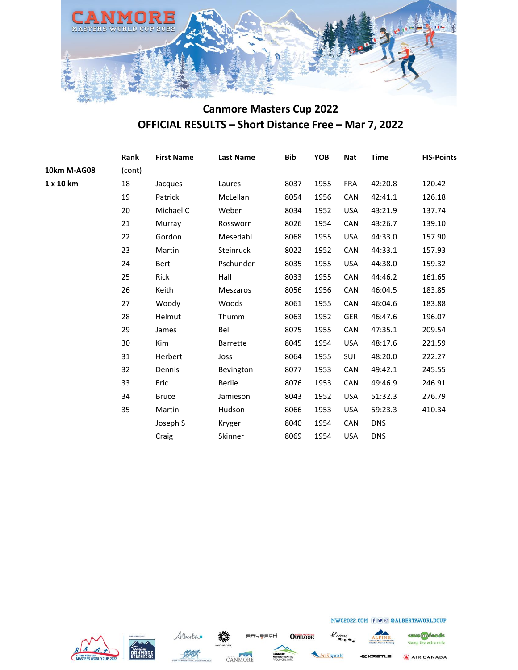

|             | Rank   | <b>First Name</b> | <b>Last Name</b> | <b>Bib</b> | <b>YOB</b> | <b>Nat</b> | <b>Time</b> | <b>FIS-Points</b> |
|-------------|--------|-------------------|------------------|------------|------------|------------|-------------|-------------------|
| 10km M-AG08 | (cont) |                   |                  |            |            |            |             |                   |
| 1 x 10 km   | 18     | Jacques           | Laures           | 8037       | 1955       | <b>FRA</b> | 42:20.8     | 120.42            |
|             | 19     | Patrick           | McLellan         | 8054       | 1956       | <b>CAN</b> | 42:41.1     | 126.18            |
|             | 20     | Michael C         | Weber            | 8034       | 1952       | <b>USA</b> | 43:21.9     | 137.74            |
|             | 21     | Murray            | Rossworn         | 8026       | 1954       | CAN        | 43:26.7     | 139.10            |
|             | 22     | Gordon            | Mesedahl         | 8068       | 1955       | <b>USA</b> | 44:33.0     | 157.90            |
|             | 23     | Martin            | Steinruck        | 8022       | 1952       | CAN        | 44:33.1     | 157.93            |
|             | 24     | Bert              | Pschunder        | 8035       | 1955       | <b>USA</b> | 44:38.0     | 159.32            |
|             | 25     | Rick              | Hall             | 8033       | 1955       | <b>CAN</b> | 44:46.2     | 161.65            |
|             | 26     | Keith             | Meszaros         | 8056       | 1956       | <b>CAN</b> | 46:04.5     | 183.85            |
|             | 27     | Woody             | Woods            | 8061       | 1955       | <b>CAN</b> | 46:04.6     | 183.88            |
|             | 28     | Helmut            | Thumm            | 8063       | 1952       | <b>GER</b> | 46:47.6     | 196.07            |
|             | 29     | James             | Bell             | 8075       | 1955       | CAN        | 47:35.1     | 209.54            |
|             | 30     | Kim               | <b>Barrette</b>  | 8045       | 1954       | <b>USA</b> | 48:17.6     | 221.59            |
|             | 31     | Herbert           | Joss             | 8064       | 1955       | <b>SUI</b> | 48:20.0     | 222.27            |
|             | 32     | Dennis            | Bevington        | 8077       | 1953       | <b>CAN</b> | 49:42.1     | 245.55            |
|             | 33     | Eric              | Berlie           | 8076       | 1953       | <b>CAN</b> | 49:46.9     | 246.91            |
|             | 34     | <b>Bruce</b>      | Jamieson         | 8043       | 1952       | <b>USA</b> | 51:32.3     | 276.79            |
|             | 35     | Martin            | Hudson           | 8066       | 1953       | <b>USA</b> | 59:23.3     | 410.34            |
|             |        | Joseph S          | Kryger           | 8040       | 1954       | <b>CAN</b> | <b>DNS</b>  |                   |
|             |        | Craig             | Skinner          | 8069       | 1954       | <b>USA</b> | <b>DNS</b>  |                   |
|             |        |                   |                  |            |            |            |             |                   |







**OUTLOOK** 

**BRUBECH** 



Roam



save on foods Going the extra mile

AIR CANADA KKASTLE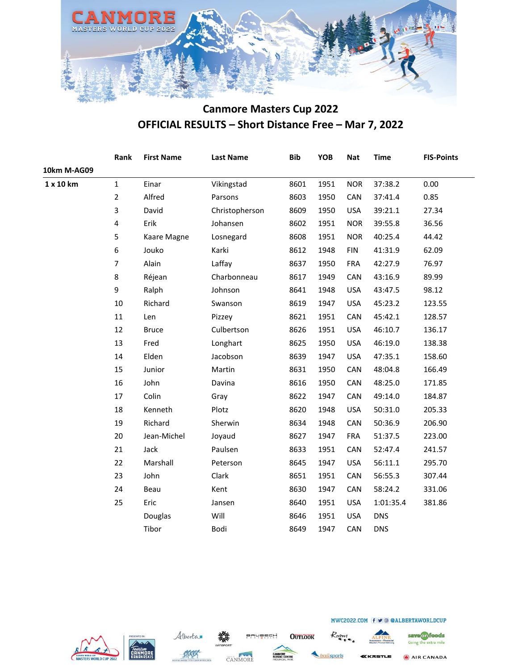

|             | Rank           | <b>First Name</b> | <b>Last Name</b> | <b>Bib</b> | YOB  | <b>Nat</b> | <b>Time</b> | <b>FIS-Points</b> |
|-------------|----------------|-------------------|------------------|------------|------|------------|-------------|-------------------|
| 10km M-AG09 |                |                   |                  |            |      |            |             |                   |
| 1 x 10 km   | $\mathbf 1$    | Einar             | Vikingstad       | 8601       | 1951 | <b>NOR</b> | 37:38.2     | 0.00              |
|             | $\overline{2}$ | Alfred            | Parsons          | 8603       | 1950 | CAN        | 37:41.4     | 0.85              |
|             | 3              | David             | Christopherson   | 8609       | 1950 | <b>USA</b> | 39:21.1     | 27.34             |
|             | 4              | Erik              | Johansen         | 8602       | 1951 | <b>NOR</b> | 39:55.8     | 36.56             |
|             | 5              | Kaare Magne       | Losnegard        | 8608       | 1951 | <b>NOR</b> | 40:25.4     | 44.42             |
|             | 6              | Jouko             | Karki            | 8612       | 1948 | <b>FIN</b> | 41:31.9     | 62.09             |
|             | $\overline{7}$ | Alain             | Laffay           | 8637       | 1950 | <b>FRA</b> | 42:27.9     | 76.97             |
|             | 8              | Réjean            | Charbonneau      | 8617       | 1949 | CAN        | 43:16.9     | 89.99             |
|             | 9              | Ralph             | Johnson          | 8641       | 1948 | <b>USA</b> | 43:47.5     | 98.12             |
|             | $10\,$         | Richard           | Swanson          | 8619       | 1947 | <b>USA</b> | 45:23.2     | 123.55            |
|             | 11             | Len               | Pizzey           | 8621       | 1951 | CAN        | 45:42.1     | 128.57            |
|             | 12             | <b>Bruce</b>      | Culbertson       | 8626       | 1951 | <b>USA</b> | 46:10.7     | 136.17            |
|             | 13             | Fred              | Longhart         | 8625       | 1950 | <b>USA</b> | 46:19.0     | 138.38            |
|             | 14             | Elden             | Jacobson         | 8639       | 1947 | <b>USA</b> | 47:35.1     | 158.60            |
|             | 15             | Junior            | Martin           | 8631       | 1950 | CAN        | 48:04.8     | 166.49            |
|             | 16             | John              | Davina           | 8616       | 1950 | CAN        | 48:25.0     | 171.85            |
|             | 17             | Colin             | Gray             | 8622       | 1947 | CAN        | 49:14.0     | 184.87            |
|             | 18             | Kenneth           | Plotz            | 8620       | 1948 | <b>USA</b> | 50:31.0     | 205.33            |
|             | 19             | Richard           | Sherwin          | 8634       | 1948 | CAN        | 50:36.9     | 206.90            |
|             | 20             | Jean-Michel       | Joyaud           | 8627       | 1947 | <b>FRA</b> | 51:37.5     | 223.00            |
|             | 21             | Jack              | Paulsen          | 8633       | 1951 | CAN        | 52:47.4     | 241.57            |
|             | 22             | Marshall          | Peterson         | 8645       | 1947 | <b>USA</b> | 56:11.1     | 295.70            |
|             | 23             | John              | Clark            | 8651       | 1951 | CAN        | 56:55.3     | 307.44            |
|             | 24             | Beau              | Kent             | 8630       | 1947 | CAN        | 58:24.2     | 331.06            |
|             | 25             | Eric              | Jansen           | 8640       | 1951 | <b>USA</b> | 1:01:35.4   | 381.86            |
|             |                | Douglas           | Will             | 8646       | 1951 | <b>USA</b> | <b>DNS</b>  |                   |
|             |                | Tibor             | Bodi             | 8649       | 1947 | CAN        | <b>DNS</b>  |                   |







BRUBECH **OUTLOOK** 

Roam railsports



MWC2022.COM f v @ @ALBERTAWORLDCUP

save on foods Going the extra mile AIR CANADA

KKASTLE